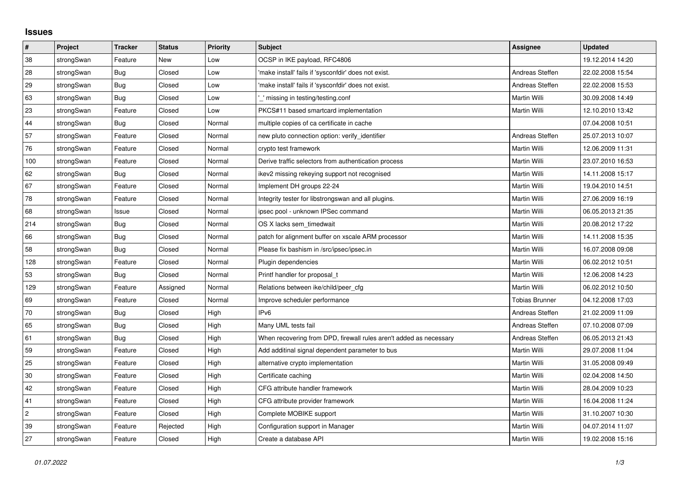## **Issues**

| $\sharp$   | Project    | <b>Tracker</b> | <b>Status</b> | <b>Priority</b> | <b>Subject</b>                                                     | <b>Assignee</b>       | <b>Updated</b>   |
|------------|------------|----------------|---------------|-----------------|--------------------------------------------------------------------|-----------------------|------------------|
| 38         | strongSwan | Feature        | New           | Low             | OCSP in IKE payload, RFC4806                                       |                       | 19.12.2014 14:20 |
| 28         | strongSwan | Bug            | Closed        | Low             | 'make install' fails if 'sysconfdir' does not exist.               | Andreas Steffen       | 22.02.2008 15:54 |
| 29         | strongSwan | <b>Bug</b>     | Closed        | Low             | 'make install' fails if 'sysconfdir' does not exist.               | Andreas Steffen       | 22.02.2008 15:53 |
| 63         | strongSwan | <b>Bug</b>     | Closed        | Low             | missing in testing/testing.conf                                    | Martin Willi          | 30.09.2008 14:49 |
| 23         | strongSwan | Feature        | Closed        | Low             | PKCS#11 based smartcard implementation                             | Martin Willi          | 12.10.2010 13:42 |
| 44         | strongSwan | Bug            | Closed        | Normal          | multiple copies of ca certificate in cache                         |                       | 07.04.2008 10:51 |
| 57         | strongSwan | Feature        | Closed        | Normal          | new pluto connection option: verify_identifier                     | Andreas Steffen       | 25.07.2013 10:07 |
| 76         | strongSwan | Feature        | Closed        | Normal          | crypto test framework                                              | Martin Willi          | 12.06.2009 11:31 |
| 100        | strongSwan | Feature        | Closed        | Normal          | Derive traffic selectors from authentication process               | Martin Willi          | 23.07.2010 16:53 |
| 62         | strongSwan | Bug            | Closed        | Normal          | ikev2 missing rekeying support not recognised                      | Martin Willi          | 14.11.2008 15:17 |
| 67         | strongSwan | Feature        | Closed        | Normal          | Implement DH groups 22-24                                          | Martin Willi          | 19.04.2010 14:51 |
| 78         | strongSwan | Feature        | Closed        | Normal          | Integrity tester for libstrongswan and all plugins.                | Martin Willi          | 27.06.2009 16:19 |
| 68         | strongSwan | Issue          | Closed        | Normal          | ipsec pool - unknown IPSec command                                 | Martin Willi          | 06.05.2013 21:35 |
| 214        | strongSwan | Bug            | Closed        | Normal          | OS X lacks sem_timedwait                                           | Martin Willi          | 20.08.2012 17:22 |
| 66         | strongSwan | <b>Bug</b>     | Closed        | Normal          | patch for alignment buffer on xscale ARM processor                 | Martin Willi          | 14.11.2008 15:35 |
| 58         | strongSwan | Bug            | Closed        | Normal          | Please fix bashism in /src/ipsec/ipsec.in                          | <b>Martin Willi</b>   | 16.07.2008 09:08 |
| 128        | strongSwan | Feature        | Closed        | Normal          | Plugin dependencies                                                | Martin Willi          | 06.02.2012 10:51 |
| 53         | strongSwan | Bug            | Closed        | Normal          | Printf handler for proposal t                                      | Martin Willi          | 12.06.2008 14:23 |
| 129        | strongSwan | Feature        | Assigned      | Normal          | Relations between ike/child/peer cfg                               | Martin Willi          | 06.02.2012 10:50 |
| 69         | strongSwan | Feature        | Closed        | Normal          | Improve scheduler performance                                      | <b>Tobias Brunner</b> | 04.12.2008 17:03 |
| 70         | strongSwan | <b>Bug</b>     | Closed        | High            | IP <sub>v6</sub>                                                   | Andreas Steffen       | 21.02.2009 11:09 |
| 65         | strongSwan | Bug            | Closed        | High            | Many UML tests fail                                                | Andreas Steffen       | 07.10.2008 07:09 |
| 61         | strongSwan | Bug            | Closed        | High            | When recovering from DPD, firewall rules aren't added as necessary | Andreas Steffen       | 06.05.2013 21:43 |
| 59         | strongSwan | Feature        | Closed        | High            | Add additinal signal dependent parameter to bus                    | Martin Willi          | 29.07.2008 11:04 |
| 25         | strongSwan | Feature        | Closed        | High            | alternative crypto implementation                                  | Martin Willi          | 31.05.2008 09:49 |
| 30         | strongSwan | Feature        | Closed        | High            | Certificate caching                                                | Martin Willi          | 02.04.2008 14:50 |
| 42         | strongSwan | Feature        | Closed        | High            | CFG attribute handler framework                                    | Martin Willi          | 28.04.2009 10:23 |
| 41         | strongSwan | Feature        | Closed        | High            | CFG attribute provider framework                                   | Martin Willi          | 16.04.2008 11:24 |
| $\sqrt{2}$ | strongSwan | Feature        | Closed        | High            | Complete MOBIKE support                                            | Martin Willi          | 31.10.2007 10:30 |
| 39         | strongSwan | Feature        | Rejected      | High            | Configuration support in Manager                                   | Martin Willi          | 04.07.2014 11:07 |
| 27         | strongSwan | Feature        | Closed        | High            | Create a database API                                              | Martin Willi          | 19.02.2008 15:16 |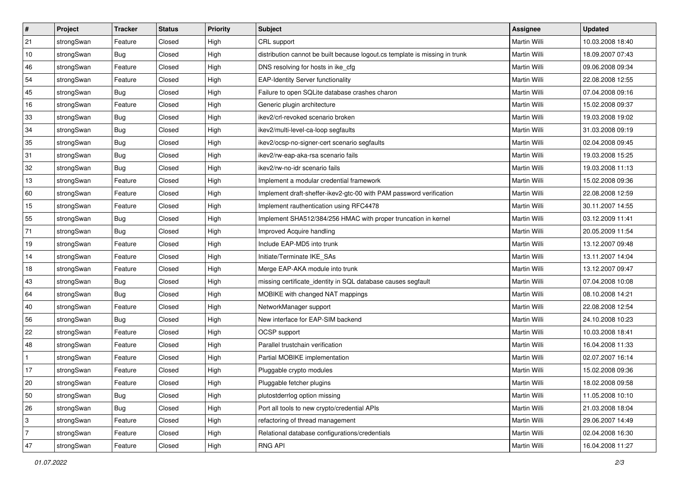| #            | Project    | <b>Tracker</b> | <b>Status</b> | <b>Priority</b> | <b>Subject</b>                                                              | <b>Assignee</b>     | <b>Updated</b>   |
|--------------|------------|----------------|---------------|-----------------|-----------------------------------------------------------------------------|---------------------|------------------|
| 21           | strongSwan | Feature        | Closed        | High            | CRL support                                                                 | Martin Willi        | 10.03.2008 18:40 |
| 10           | strongSwan | Bug            | Closed        | High            | distribution cannot be built because logout.cs template is missing in trunk | Martin Willi        | 18.09.2007 07:43 |
| 46           | strongSwan | Feature        | Closed        | High            | DNS resolving for hosts in ike_cfg                                          | <b>Martin Willi</b> | 09.06.2008 09:34 |
| 54           | strongSwan | Feature        | Closed        | High            | <b>EAP-Identity Server functionality</b>                                    | Martin Willi        | 22.08.2008 12:55 |
| 45           | strongSwan | Bug            | Closed        | High            | Failure to open SQLite database crashes charon                              | Martin Willi        | 07.04.2008 09:16 |
| 16           | strongSwan | Feature        | Closed        | High            | Generic plugin architecture                                                 | <b>Martin Willi</b> | 15.02.2008 09:37 |
| 33           | strongSwan | <b>Bug</b>     | Closed        | High            | ikev2/crl-revoked scenario broken                                           | Martin Willi        | 19.03.2008 19:02 |
| 34           | strongSwan | Bug            | Closed        | High            | ikev2/multi-level-ca-loop segfaults                                         | <b>Martin Willi</b> | 31.03.2008 09:19 |
| 35           | strongSwan | Bug            | Closed        | High            | ikev2/ocsp-no-signer-cert scenario segfaults                                | Martin Willi        | 02.04.2008 09:45 |
| 31           | strongSwan | Bug            | Closed        | High            | ikev2/rw-eap-aka-rsa scenario fails                                         | Martin Willi        | 19.03.2008 15:25 |
| 32           | strongSwan | Bug            | Closed        | High            | ikev2/rw-no-idr scenario fails                                              | Martin Willi        | 19.03.2008 11:13 |
| 13           | strongSwan | Feature        | Closed        | High            | Implement a modular credential framework                                    | Martin Willi        | 15.02.2008 09:36 |
| 60           | strongSwan | Feature        | Closed        | High            | Implement draft-sheffer-ikev2-gtc-00 with PAM password verification         | Martin Willi        | 22.08.2008 12:59 |
| 15           | strongSwan | Feature        | Closed        | High            | Implement rauthentication using RFC4478                                     | Martin Willi        | 30.11.2007 14:55 |
| 55           | strongSwan | Bug            | Closed        | High            | Implement SHA512/384/256 HMAC with proper truncation in kernel              | Martin Willi        | 03.12.2009 11:41 |
| 71           | strongSwan | <b>Bug</b>     | Closed        | High            | Improved Acquire handling                                                   | Martin Willi        | 20.05.2009 11:54 |
| 19           | strongSwan | Feature        | Closed        | High            | Include EAP-MD5 into trunk                                                  | Martin Willi        | 13.12.2007 09:48 |
| 14           | strongSwan | Feature        | Closed        | High            | Initiate/Terminate IKE_SAs                                                  | Martin Willi        | 13.11.2007 14:04 |
| 18           | strongSwan | Feature        | Closed        | High            | Merge EAP-AKA module into trunk                                             | Martin Willi        | 13.12.2007 09:47 |
| 43           | strongSwan | <b>Bug</b>     | Closed        | High            | missing certificate_identity in SQL database causes segfault                | Martin Willi        | 07.04.2008 10:08 |
| 64           | strongSwan | Bug            | Closed        | High            | MOBIKE with changed NAT mappings                                            | Martin Willi        | 08.10.2008 14:21 |
| 40           | strongSwan | Feature        | Closed        | High            | NetworkManager support                                                      | Martin Willi        | 22.08.2008 12:54 |
| 56           | strongSwan | Bug            | Closed        | High            | New interface for EAP-SIM backend                                           | Martin Willi        | 24.10.2008 10:23 |
| 22           | strongSwan | Feature        | Closed        | High            | <b>OCSP</b> support                                                         | Martin Willi        | 10.03.2008 18:41 |
| 48           | strongSwan | Feature        | Closed        | High            | Parallel trustchain verification                                            | Martin Willi        | 16.04.2008 11:33 |
| $\mathbf{1}$ | strongSwan | Feature        | Closed        | High            | Partial MOBIKE implementation                                               | Martin Willi        | 02.07.2007 16:14 |
| 17           | strongSwan | Feature        | Closed        | High            | Pluggable crypto modules                                                    | Martin Willi        | 15.02.2008 09:36 |
| 20           | strongSwan | Feature        | Closed        | High            | Pluggable fetcher plugins                                                   | Martin Willi        | 18.02.2008 09:58 |
| 50           | strongSwan | Bug            | Closed        | High            | plutostderrlog option missing                                               | Martin Willi        | 11.05.2008 10:10 |
| 26           | strongSwan | Bug            | Closed        | High            | Port all tools to new crypto/credential APIs                                | Martin Willi        | 21.03.2008 18:04 |
| 3            | strongSwan | Feature        | Closed        | High            | refactoring of thread management                                            | Martin Willi        | 29.06.2007 14:49 |
| 7            | strongSwan | Feature        | Closed        | High            | Relational database configurations/credentials                              | Martin Willi        | 02.04.2008 16:30 |
| 47           | strongSwan | Feature        | Closed        | High            | <b>RNG API</b>                                                              | Martin Willi        | 16.04.2008 11:27 |